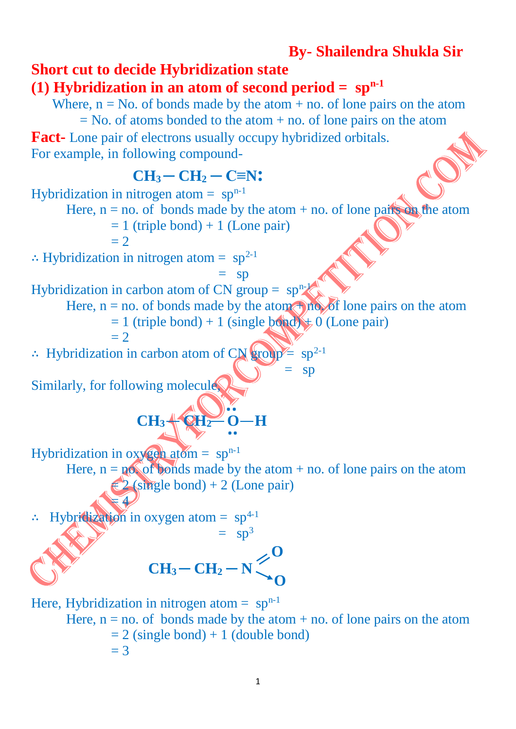# **By- Shailendra Shukla Sir**

# **Short cut to decide Hybridization state**

## **(1) Hybridization in an atom of second period =**  $\text{sp}^{\text{n-1}}$

Where,  $n = No$ . of bonds made by the atom + no. of lone pairs on the atom  $=$  No. of atoms bonded to the atom  $+$  no. of lone pairs on the atom **Fact-** Lone pair of electrons usually occupy hybridized orbitals. For example, in following compound-

## **CH3 ─ CH<sup>2</sup> ─ C≡N:** Hybridization in nitrogen atom =  $sp^{n-1}$ Here,  $n = no$  of bonds made by the atom + no. of lone pairs on the atom  $= 1$  (triple bond) + 1 (Lone pair)  $= 2$ ∴ Hybridization in nitrogen atom =  $sp^{2-1}$  $=$  sp Hybridization in carbon atom of CN group =  $\text{sp}^{\text{n-1}}$ Here,  $n = no$ . of bonds made by the atom  $\uparrow$  no. of lone pairs on the atom  $= 1$  (triple bond) + 1 (single bond)  $\neq 0$  (Lone pair)  $= 2$ ∴ Hybridization in carbon atom of  $CN$  group  $\equiv$  sp<sup>2-1</sup>  $\mathbb{R}^n = \text{sp}$ Similarly, for following molecule, **CH<sub>3</sub>**  $\leftarrow$  **QH<sub>2</sub><sup>** $\rightleftarrow$ **</sup> O-H** Hybridization in  $oxy$  gen atom = sp<sup>n-1</sup> Here,  $n = p \otimes f$  bonds made by the atom + no. of lone pairs on the atom  $2$  (single bond) + 2 (Lone pair)  $\overline{4}$ Hybridization in oxygen atom =  $sp^{4-1}$  $=$  sp<sup>3</sup>  $CH_3-CH_2-N$  Here, Hybridization in nitrogen atom  $=$  sp<sup>n-1</sup> Here,  $n = no$  of bonds made by the atom + no. of lone pairs on the atom  $= 2$  (single bond) + 1 (double bond)  $= 3$ **O O ..**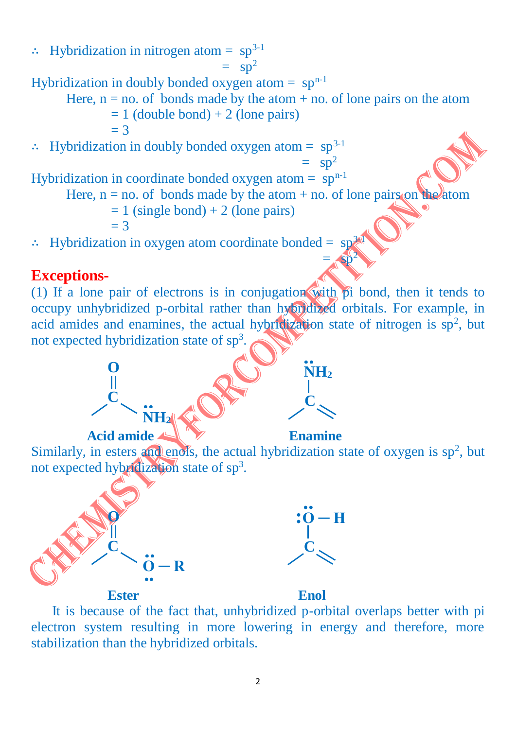∴ Hybridization in nitrogen atom =  $sp^{3-1}$  $=$  sp<sup>2</sup> Hybridization in doubly bonded oxygen atom  $=$  sp<sup>n-1</sup> Here,  $n = no$ . of bonds made by the atom  $+ no$ . of lone pairs on the atom  $= 1$  (double bond) + 2 (lone pairs)  $= 3$ ∴ Hybridization in doubly bonded oxygen atom =  $sp^{3-1}$  $=$  sp<sup>2</sup> Hybridization in coordinate bonded oxygen atom =  $\sin^{-1}$ Here,  $n = no$  of bonds made by the atom + no. of lone pairs on the atom  $= 1$  (single bond) + 2 (lone pairs)  $=$  3 ∴ Hybridization in oxygen atom coordinate bonded =  $sp<sup>3</sup>$  $=\sqrt{3p^2}$ 

#### **Exceptions-**

(1) If a lone pair of electrons is in conjugation with  $\beta$  bond, then it tends to occupy unhybridized p-orbital rather than hybridized orbitals. For example, in acid amides and enamines, the actual hybridization state of nitrogen is  $sp^2$ , but not expected hybridization state of sp<sup>3</sup>.



Similarly, in esters and enols, the actual hybridization state of oxygen is  $sp^2$ , but not expected hybridization state of sp<sup>3</sup>.





 It is because of the fact that, unhybridized p-orbital overlaps better with pi electron system resulting in more lowering in energy and therefore, more stabilization than the hybridized orbitals.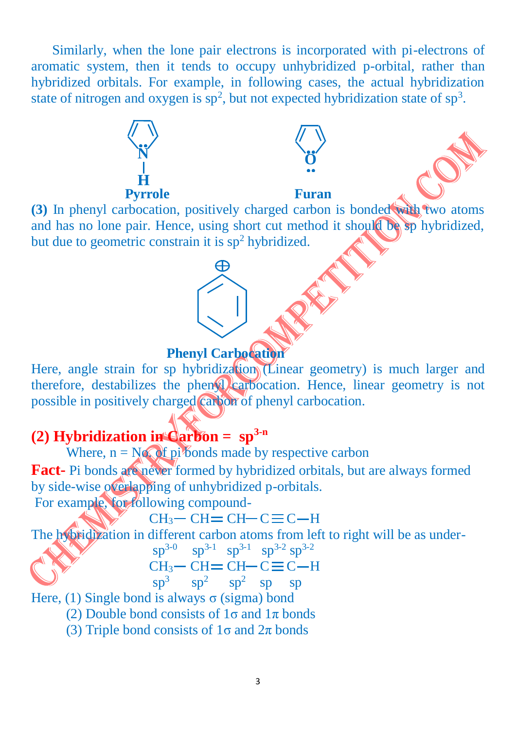Similarly, when the lone pair electrons is incorporated with pi-electrons of aromatic system, then it tends to occupy unhybridized p-orbital, rather than hybridized orbitals. For example, in following cases, the actual hybridization state of nitrogen and oxygen is  $sp^2$ , but not expected hybridization state of  $sp^3$ .



and has no lone pair. Hence, using short cut method it should be sp hybridized, but due to geometric constrain it is  $sp<sup>2</sup>$  hybridized.

#### **Phenyl Carbocation**

Here, angle strain for sp hybridization (Linear geometry) is much larger and therefore, destabilizes the phenyl carbocation. Hence, linear geometry is not possible in positively charged carbon of phenyl carbocation.

# **(2) Hybridization in Carbon = sp3-n**

Where,  $n = N \sqrt{df}$  pi bonds made by respective carbon **Fact-** Pi bonds are never formed by hybridized orbitals, but are always formed by side-wise overlapping of unhybridized p-orbitals. For example, for following compound-

 $CH<sub>3</sub>$  -  $CH = CH$  -  $C \equiv C$  -  $H$ 

The hybridization in different carbon atoms from left to right will be as under-

| NASY OF STRAIGHT |  | $sp^{3-0}$ $sp^{3-1}$ $sp^{3-1}$ $sp^{3-2}$ $sp^{3-2}$ |  |
|------------------|--|--------------------------------------------------------|--|
|                  |  | $CH_3$ – $CH = CH$ – $C \equiv C$ – H                  |  |

 $\text{sp}^3$   $\text{sp}^2$   $\text{sp}^2$  sp sp

Here, (1) Single bond is always  $\sigma$  (sigma) bond

(2) Double bond consists of  $1\sigma$  and  $1\pi$  bonds

(3) Triple bond consists of  $1\sigma$  and  $2\pi$  bonds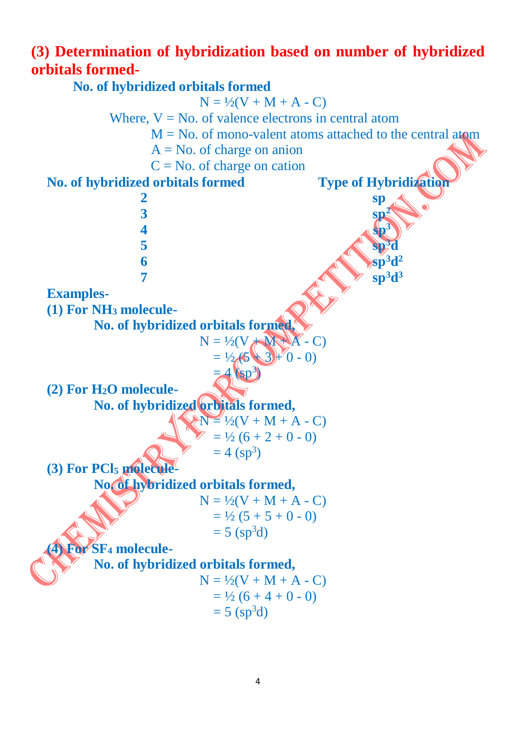# **(3) Determination of hybridization based on number of hybridized orbitals formed-**

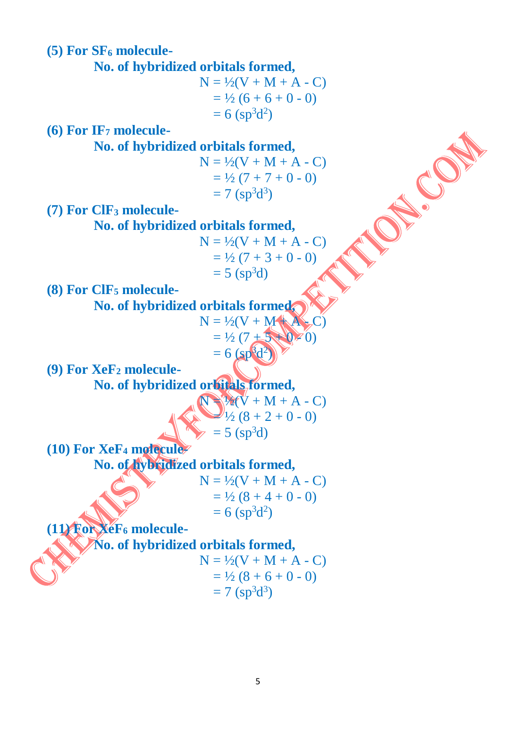**(5) For SF<sup>6</sup> molecule-**

 **No. of hybridized orbitals formed,** 

 $N = \frac{1}{2}(V + M + A - C)$  $=$  1/2 (6 + 6 + 0 - 0)  $= 6 \, (\text{sp}^3 \text{d}^2)$ 

**(6) For IF<sup>7</sup> molecule-**

 **No. of hybridized orbitals formed,** 

 $N = \frac{1}{2}(V + M + A - C)$  $=$  1/2 (7 + 7 + 0 - 0)  $= 7 \text{ (sp}^3d^3)$ 

**(7) For ClF<sup>3</sup> molecule-**

 **No. of hybridized orbitals formed,** 

$$
N = \frac{1}{2}(V + M + A - C)
$$
  
=  $\frac{1}{2}(7 + 3 + 0 - 0)$   
= 5 (sp<sup>3</sup>d)

**(8) For ClF<sup>5</sup> molecule-**

 **No. of hybridized orbitals formed,** 

$$
N = \frac{1}{2}(V + M + A + C)
$$
  
=  $\frac{1}{2}(7 + 5 + 0) \neq 0$   
= 6 (sp<sup>6</sup>d<sup>2</sup>)

**(9) For XeF<sup>2</sup> molecule- No. of hybridized orbitals formed,** 

$$
\begin{array}{r} \n\sqrt{1/2}(V + M + A - C) \\
\hline\n\sqrt{1/2}(8 + 2 + 0 - 0) \\
\end{array}
$$
\n
$$
= 5 \text{ (sp}^3d)
$$

**(10) For XeF<sup>4</sup> molecule-**

 **No. of hybridized orbitals formed,** 

$$
N = \frac{1}{2}(V + M + A - C)
$$
  
=  $\frac{1}{2}(8 + 4 + 0 - 0)$   
= 6 (sp<sup>3</sup>d<sup>2</sup>)

**(11) For XeF<sup>6</sup> molecule-**

 **No. of hybridized orbitals formed,** 

 $N = \frac{1}{2}(V + M + A - C)$  $=$  1/2 (8 + 6 + 0 - 0)  $= 7 \, (\text{sp}^3 \text{d}^3)$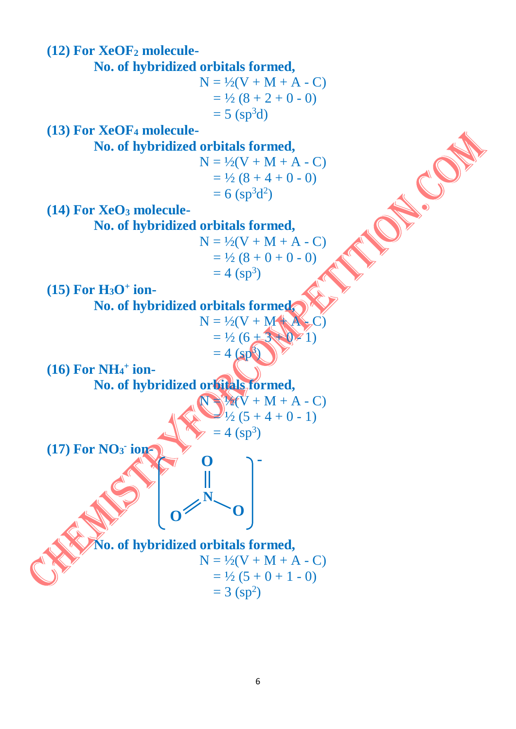

6